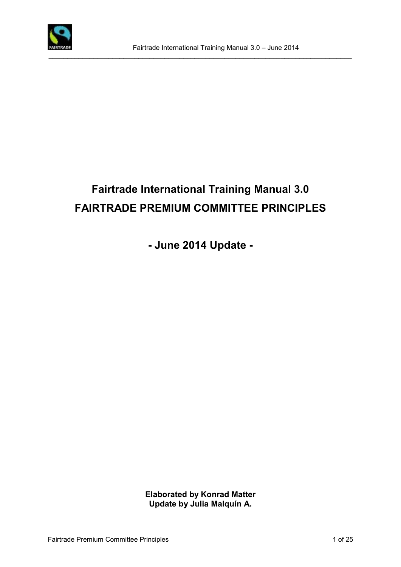

# **Fairtrade International Training Manual 3.0 FAIRTRADE PREMIUM COMMITTEE PRINCIPLES**

**- June 2014 Update -**

**Elaborated by Konrad Matter Update by Julia Malquín A.**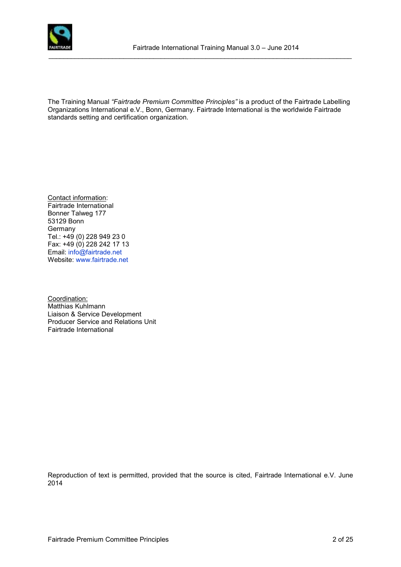

The Training Manual *"Fairtrade Premium Committee Principles"* is a product of the Fairtrade Labelling Organizations International e.V., Bonn, Germany. Fairtrade International is the worldwide Fairtrade standards setting and certification organization.

\_\_\_\_\_\_\_\_\_\_\_\_\_\_\_\_\_\_\_\_\_\_\_\_\_\_\_\_\_\_\_\_\_\_\_\_\_\_\_\_\_\_\_\_\_\_\_\_\_\_\_\_\_\_\_\_\_\_\_\_\_\_\_\_\_\_\_\_\_\_\_\_\_\_\_\_\_\_\_\_\_

Contact information: Fairtrade International Bonner Talweg 177 53129 Bonn Germany Tel.: +49 (0) 228 949 23 0 Fax: +49 (0) 228 242 17 13 Email: [info@fairtrade.net](mailto:info@fairtrade.net) Website: [www.fairtrade.net](http://www.fairtrade.net/)

Coordination: Matthias Kuhlmann Liaison & Service Development Producer Service and Relations Unit Fairtrade International

Reproduction of text is permitted, provided that the source is cited, Fairtrade International e.V. June 2014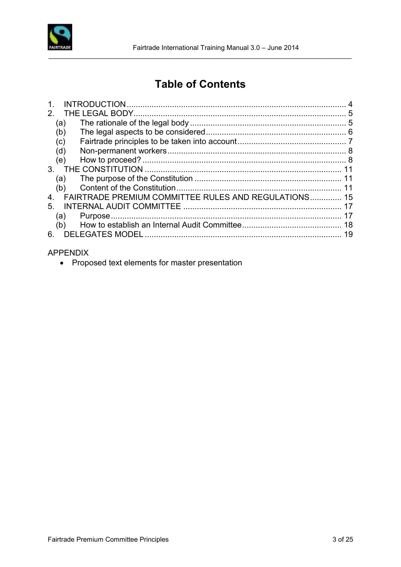

## **Table of Contents**

\_\_\_\_\_\_\_\_\_\_\_\_\_\_\_\_\_\_\_\_\_\_\_\_\_\_\_\_\_\_\_\_\_\_\_\_\_\_\_\_\_\_\_\_\_\_\_\_\_\_\_\_\_\_\_\_\_\_\_\_\_\_\_\_\_\_\_\_\_\_\_\_\_\_\_\_\_\_\_\_\_

| 2 <sup>1</sup>                                                    |    |
|-------------------------------------------------------------------|----|
| (a)                                                               |    |
| (b)                                                               |    |
| (c)                                                               |    |
| (d)                                                               |    |
| (e)                                                               |    |
|                                                                   |    |
| (a)                                                               |    |
| (b)                                                               | 11 |
| <b>FAIRTRADE PREMIUM COMMITTEE RULES AND REGULATIONS 15</b><br>4. |    |
| 5.                                                                |    |
| (a)                                                               |    |
| (b)                                                               |    |
| 6.                                                                | 19 |
|                                                                   |    |

#### APPENDIX

• Proposed text elements for master presentation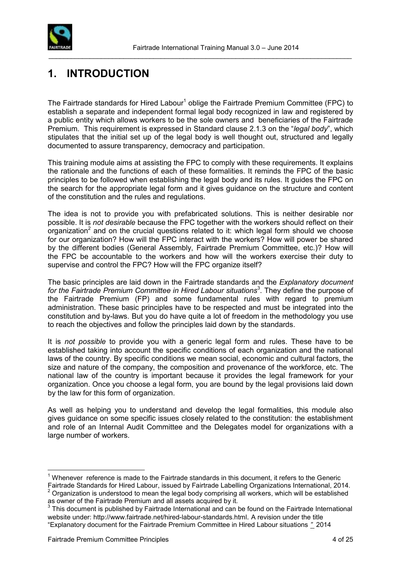

## <span id="page-3-0"></span>**1. INTRODUCTION**

The Fairtrade standards for Hired Labour<sup>1</sup> oblige the Fairtrade Premium Committee (FPC) to establish a separate and independent formal legal body recognized in law and registered by a public entity which allows workers to be the sole owners and beneficiaries of the Fairtrade Premium. This requirement is expressed in Standard clause 2.1.3 on the "*legal body*", which stipulates that the initial set up of the legal body is well thought out, structured and legally documented to assure transparency, democracy and participation.

This training module aims at assisting the FPC to comply with these requirements. It explains the rationale and the functions of each of these formalities. It reminds the FPC of the basic principles to be followed when establishing the legal body and its rules. It guides the FPC on the search for the appropriate legal form and it gives guidance on the structure and content of the constitution and the rules and regulations.

The idea is not to provide you with prefabricated solutions. This is neither desirable nor possible. It is *not desirable* because the FPC together with the workers should reflect on their organization<sup>2</sup> and on the crucial questions related to it: which legal form should we choose for our organization? How will the FPC interact with the workers? How will power be shared by the different bodies (General Assembly, Fairtrade Premium Committee, etc.)? How will the FPC be accountable to the workers and how will the workers exercise their duty to supervise and control the FPC? How will the FPC organize itself?

The basic principles are laid down in the Fairtrade standards and the *Explanatory document*  for the Fairtrade Premium Committee in Hired Labour situations<sup>3</sup>. They define the purpose of the Fairtrade Premium (FP) and some fundamental rules with regard to premium administration. These basic principles have to be respected and must be integrated into the constitution and by-laws. But you do have quite a lot of freedom in the methodology you use to reach the objectives and follow the principles laid down by the standards.

It is *not possible* to provide you with a generic legal form and rules. These have to be established taking into account the specific conditions of each organization and the national laws of the country. By specific conditions we mean social, economic and cultural factors, the size and nature of the company, the composition and provenance of the workforce, etc. The national law of the country is important because it provides the legal framework for your organization. Once you choose a legal form, you are bound by the legal provisions laid down by the law for this form of organization.

As well as helping you to understand and develop the legal formalities, this module also gives guidance on some specific issues closely related to the constitution: the establishment and role of an Internal Audit Committee and the Delegates model for organizations with a large number of workers.

 $1$  Whenever reference is made to the Fairtrade standards in this document, it refers to the Generic

Fairtrade Standards for Hired Labour, issued by Fairtrade Labelling Organizations International, 2014. <sup>2</sup> Organization is understood to mean the legal body comprising all workers, which will be established as owner of the Fairtrade Premium and all assets acquired by it.

<sup>3</sup> This document is published by Fairtrade International and can be found on the Fairtrade International website under: http://www.fairtrade.net/hired-labour-standards.html. A revision under the title "Explanatory document for the Fairtrade Premium Committee in Hired Labour situations *"* 2014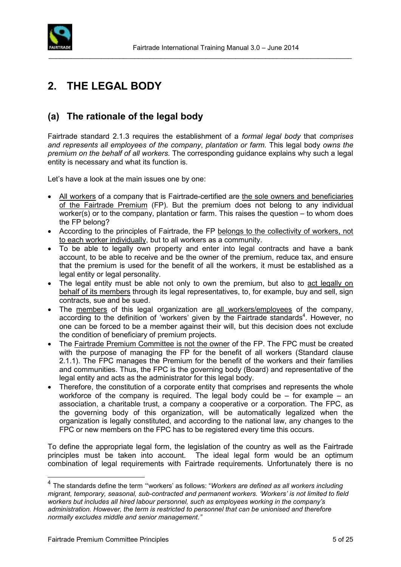

## <span id="page-4-0"></span>**2. THE LEGAL BODY**

## <span id="page-4-1"></span>**(a) The rationale of the legal body**

Fairtrade standard 2.1.3 requires the establishment of a *formal legal body* that *comprises and represents all employees of the company*, *plantation or farm.* This legal body *owns the premium on the behalf of all workers.* The corresponding guidance explains why such a legal entity is necessary and what its function is.

Let's have a look at the main issues one by one:

- All workers of a company that is Fairtrade-certified are the sole owners and beneficiaries of the Fairtrade Premium (FP). But the premium does not belong to any individual worker(s) or to the company, plantation or farm. This raises the question – to whom does the FP belong?
- According to the principles of Fairtrade, the FP belongs to the collectivity of workers, not to each worker individually, but to all workers as a community.
- To be able to legally own property and enter into legal contracts and have a bank account, to be able to receive and be the owner of the premium, reduce tax, and ensure that the premium is used for the benefit of all the workers, it must be established as a legal entity or legal personality.
- The legal entity must be able not only to own the premium, but also to act legally on behalf of its members through its legal representatives, to, for example, buy and sell, sign contracts, sue and be sued.
- The members of this legal organization are all workers/employees of the company, according to the definition of 'workers' given by the Fairtrade standards<sup>4</sup>. However, no one can be forced to be a member against their will, but this decision does not exclude the condition of beneficiary of premium projects.
- The Fairtrade Premium Committee is not the owner of the FP. The FPC must be created with the purpose of managing the FP for the benefit of all workers (Standard clause 2.1.1). The FPC manages the Premium for the benefit of the workers and their families and communities. Thus, the FPC is the governing body (Board) and representative of the legal entity and acts as the administrator for this legal body.
- Therefore, the constitution of a corporate entity that comprises and represents the whole workforce of the company is required. The legal body could be  $-$  for example  $-$  an association, a charitable trust, a company a cooperative or a corporation. The FPC, as the governing body of this organization, will be automatically legalized when the organization is legally constituted, and according to the national law, any changes to the FPC or new members on the FPC has to be registered every time this occurs.

To define the appropriate legal form, the legislation of the country as well as the Fairtrade principles must be taken into account. The ideal legal form would be an optimum combination of legal requirements with Fairtrade requirements. Unfortunately there is no

<sup>4</sup> The standards define the term '"workers' as follows: "*Workers are defined as all workers including migrant, temporary, seasonal, sub-contracted and permanent workers. 'Workers' is not limited to field workers but includes all hired labour personnel, such as employees working in the company's administration. However, the term is restricted to personnel that can be unionised and therefore normally excludes middle and senior management."*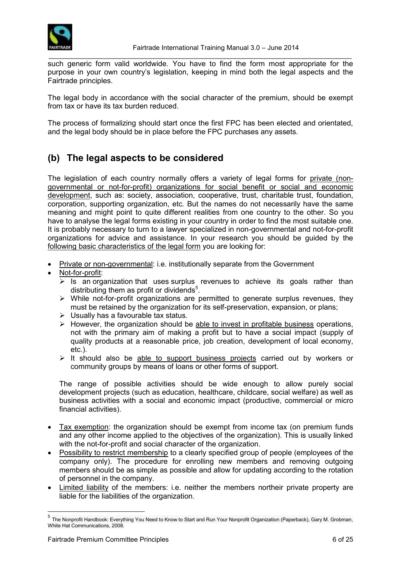

\_\_\_\_\_\_\_\_\_\_\_\_\_\_\_\_\_\_\_\_\_\_\_\_\_\_\_\_\_\_\_\_\_\_\_\_\_\_\_\_\_\_\_\_\_\_\_\_\_\_\_\_\_\_\_\_\_\_\_\_\_\_\_\_\_\_\_\_\_\_\_\_\_\_\_\_\_\_\_\_\_ such generic form valid worldwide. You have to find the form most appropriate for the purpose in your own country's legislation, keeping in mind both the legal aspects and the Fairtrade principles.

The legal body in accordance with the social character of the premium, should be exempt from tax or have its tax burden reduced.

The process of formalizing should start once the first FPC has been elected and orientated, and the legal body should be in place before the FPC purchases any assets.

## <span id="page-5-0"></span>**(b) The legal aspects to be considered**

The legislation of each country normally offers a variety of legal forms for private (nongovernmental or not-for-profit) organizations for social benefit or social and economic development, such as: society, association, cooperative, trust, charitable trust, foundation, corporation, supporting organization, etc. But the names do not necessarily have the same meaning and might point to quite different realities from one country to the other. So you have to analyse the legal forms existing in your country in order to find the most suitable one. It is probably necessary to turn to a lawyer specialized in non-governmental and not-for-profit organizations for advice and assistance. In your research you should be guided by the following basic characteristics of the legal form you are looking for:

- Private or non-governmental: i.e. institutionally separate from the Government
- Not-for-profit:
	- $\triangleright$  Is an [organization](http://en.wikipedia.org/wiki/Organization) that uses [surplus revenues](http://en.wikipedia.org/wiki/Economic_surplus) to achieve its goals rather than distributing them as profit or dividends<sup>5</sup>.
	- $\triangleright$  While not-for-profit organizations are permitted to generate surplus revenues, they must be retained by the organization for its self-preservation, expansion, or plans;
	- $\triangleright$  Usually has a favourable tax status.
	- $\triangleright$  However, the organization should be able to invest in profitable business operations, not with the primary aim of making a profit but to have a social impact (supply of quality products at a reasonable price, job creation, development of local economy, etc.).
	- $\triangleright$  It should also be able to support business projects carried out by workers or community groups by means of loans or other forms of support.

The range of possible activities should be wide enough to allow purely social development projects (such as education, healthcare, childcare, social welfare) as well as business activities with a social and economic impact (productive, commercial or micro financial activities).

- Tax exemption: the organization should be exempt from income tax (on premium funds and any other income applied to the objectives of the organization). This is usually linked with the not-for-profit and social character of the organization.
- Possibility to restrict membership to a clearly specified group of people (employees of the company only). The procedure for enrolling new members and removing outgoing members should be as simple as possible and allow for updating according to the rotation of personnel in the company.
- Limited liability of the members: i.e. neither the members northeir private property are liable for the liabilities of the organization.

<sup>-&</sup>lt;br>5 The Nonprofit Handbook: Everything You Need to Know to Start and Run Your Nonprofit Organization (Paperback), Gary M. Grobman, White Hat Communications, 2008.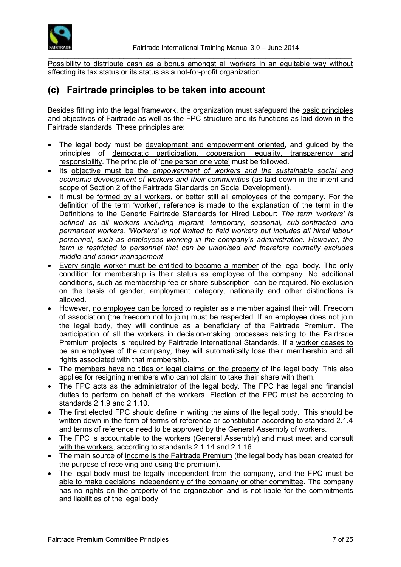

\_\_\_\_\_\_\_\_\_\_\_\_\_\_\_\_\_\_\_\_\_\_\_\_\_\_\_\_\_\_\_\_\_\_\_\_\_\_\_\_\_\_\_\_\_\_\_\_\_\_\_\_\_\_\_\_\_\_\_\_\_\_\_\_\_\_\_\_\_\_\_\_\_\_\_\_\_\_\_\_\_ Possibility to distribute cash as a bonus amongst all workers in an equitable way without affecting its tax status or its status as a not-for-profit organization.

## <span id="page-6-0"></span>**(c) Fairtrade principles to be taken into account**

Besides fitting into the legal framework, the organization must safeguard the basic principles and objectives of Fairtrade as well as the FPC structure and its functions as laid down in the Fairtrade standards. These principles are:

- The legal body must be development and empowerment oriented, and guided by the principles of democratic participation, cooperation, equality, transparency and responsibility. The principle of 'one person one vote' must be followed.
- Its objective must be the *empowerment of workers and the sustainable social and economic development of workers and their communities* (as laid down in the intent and scope of Section 2 of the Fairtrade Standards on Social Development).
- It must be formed by all workers, or better still all employees of the company. For the definition of the term 'worker', reference is made to the explanation of the term in the Definitions to the Generic Fairtrade Standards for Hired Labour: *The term 'workers' is defined as all workers including migrant, temporary, seasonal, sub-contracted and permanent workers. 'Workers' is not limited to field workers but includes all hired labour personnel, such as employees working in the company's administration. However, the term is restricted to personnel that can be unionised and therefore normally excludes middle and senior management*.
- Every single worker must be entitled to become a member of the legal body. The only condition for membership is their status as employee of the company. No additional conditions, such as membership fee or share subscription, can be required. No exclusion on the basis of gender, employment category, nationality and other distinctions is allowed.
- However, no employee can be forced to register as a member against their will. Freedom of association (the freedom not to join) must be respected. If an employee does not join the legal body, they will continue as a beneficiary of the Fairtrade Premium. The participation of all the workers in decision-making processes relating to the Fairtrade Premium projects is required by Fairtrade International Standards. If a worker ceases to be an employee of the company, they will automatically lose their membership and all rights associated with that membership.
- The members have no titles or legal claims on the property of the legal body. This also applies for resigning members who cannot claim to take their share with them.
- The FPC acts as the administrator of the legal body. The FPC has legal and financial duties to perform on behalf of the workers. Election of the FPC must be according to standards 2.1.9 and 2.1.10.
- The first elected FPC should define in writing the aims of the legal body. This should be written down in the form of terms of reference or constitution according to standard 2.1.4 and terms of reference need to be approved by the General Assembly of workers.
- The FPC is accountable to the workers (General Assembly) and must meet and consult with the workers, according to standards 2.1.14 and 2.1.16.
- The main source of income is the Fairtrade Premium (the legal body has been created for the purpose of receiving and using the premium).
- The legal body must be legally independent from the company, and the FPC must be able to make decisions independently of the company or other committee. The company has no rights on the property of the organization and is not liable for the commitments and liabilities of the legal body.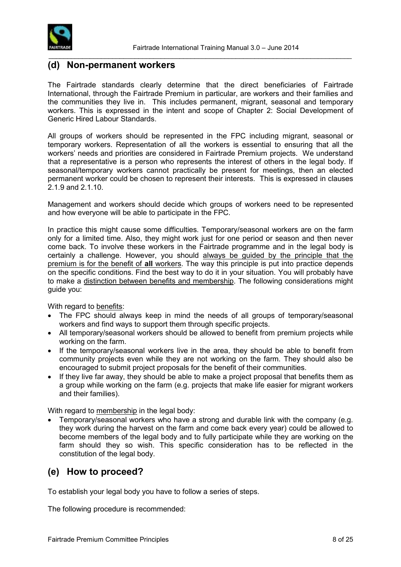

### <span id="page-7-0"></span>**(d) Non-permanent workers**

The Fairtrade standards clearly determine that the direct beneficiaries of Fairtrade International, through the Fairtrade Premium in particular, are workers and their families and the communities they live in. This includes permanent, migrant, seasonal and temporary workers. This is expressed in the intent and scope of Chapter 2: Social Development of Generic Hired Labour Standards.

\_\_\_\_\_\_\_\_\_\_\_\_\_\_\_\_\_\_\_\_\_\_\_\_\_\_\_\_\_\_\_\_\_\_\_\_\_\_\_\_\_\_\_\_\_\_\_\_\_\_\_\_\_\_\_\_\_\_\_\_\_\_\_\_\_\_\_\_\_\_\_\_\_\_\_\_\_\_\_\_\_

All groups of workers should be represented in the FPC including migrant, seasonal or temporary workers. Representation of all the workers is essential to ensuring that all the workers' needs and priorities are considered in Fairtrade Premium projects. We understand that a representative is a person who represents the interest of others in the legal body. If seasonal/temporary workers cannot practically be present for meetings, then an elected permanent worker could be chosen to represent their interests. This is expressed in clauses 2.1.9 and 2.1.10.

Management and workers should decide which groups of workers need to be represented and how everyone will be able to participate in the FPC.

In practice this might cause some difficulties. Temporary/seasonal workers are on the farm only for a limited time. Also, they might work just for one period or season and then never come back. To involve these workers in the Fairtrade programme and in the legal body is certainly a challenge. However, you should always be guided by the principle that the premium is for the benefit of **all** workers. The way this principle is put into practice depends on the specific conditions. Find the best way to do it in your situation. You will probably have to make a distinction between benefits and membership. The following considerations might guide you:

With regard to benefits:

- The FPC should always keep in mind the needs of all groups of temporary/seasonal workers and find ways to support them through specific projects.
- All temporary/seasonal workers should be allowed to benefit from premium projects while working on the farm.
- If the temporary/seasonal workers live in the area, they should be able to benefit from community projects even while they are not working on the farm. They should also be encouraged to submit project proposals for the benefit of their communities.
- If they live far away, they should be able to make a project proposal that benefits them as a group while working on the farm (e.g. projects that make life easier for migrant workers and their families).

With regard to membership in the legal body:

 Temporary/seasonal workers who have a strong and durable link with the company (e.g. they work during the harvest on the farm and come back every year) could be allowed to become members of the legal body and to fully participate while they are working on the farm should they so wish. This specific consideration has to be reflected in the constitution of the legal body.

### <span id="page-7-1"></span>**(e) How to proceed?**

To establish your legal body you have to follow a series of steps.

The following procedure is recommended: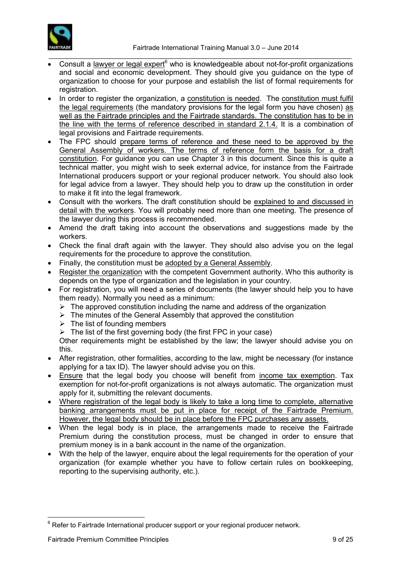

- Consult a lawyer or legal expert $6$  who is knowledgeable about not-for-profit organizations and social and economic development. They should give you guidance on the type of organization to choose for your purpose and establish the list of formal requirements for registration.
- In order to register the organization, a constitution is needed. The constitution must fulfil the legal requirements (the mandatory provisions for the legal form you have chosen) as well as the Fairtrade principles and the Fairtrade standards. The constitution has to be in the line with the terms of reference described in standard 2.1.4. It is a combination of legal provisions and Fairtrade requirements.
- The FPC should prepare terms of reference and these need to be approved by the General Assembly of workers. The terms of reference form the basis for a draft constitution. For guidance you can use Chapter 3 in this document. Since this is quite a technical matter, you might wish to seek external advice, for instance from the Fairtrade International producers support or your regional producer network. You should also look for legal advice from a lawyer. They should help you to draw up the constitution in order to make it fit into the legal framework.
- Consult with the workers. The draft constitution should be explained to and discussed in detail with the workers. You will probably need more than one meeting. The presence of the lawyer during this process is recommended.
- Amend the draft taking into account the observations and suggestions made by the workers.
- Check the final draft again with the lawyer. They should also advise you on the legal requirements for the procedure to approve the constitution.
- Finally, the constitution must be adopted by a General Assembly.
- Register the organization with the competent Government authority. Who this authority is depends on the type of organization and the legislation in your country.
- For registration, you will need a series of documents (the lawyer should help you to have them ready). Normally you need as a minimum:
	- $\triangleright$  The approved constitution including the name and address of the organization
	- $\triangleright$  The minutes of the General Assembly that approved the constitution
	- $\triangleright$  The list of founding members
	- $\triangleright$  The list of the first governing body (the first FPC in your case)

Other requirements might be established by the law; the lawyer should advise you on this.

- After registration, other formalities, according to the law, might be necessary (for instance applying for a tax ID). The lawyer should advise you on this.
- Ensure that the legal body you choose will benefit from income tax exemption. Tax exemption for not-for-profit organizations is not always automatic. The organization must apply for it, submitting the relevant documents.
- Where registration of the legal body is likely to take a long time to complete, alternative banking arrangements must be put in place for receipt of the Fairtrade Premium. However, the legal body should be in place before the FPC purchases any assets.
- When the legal body is in place, the arrangements made to receive the Fairtrade Premium during the constitution process, must be changed in order to ensure that premium money is in a bank account in the name of the organization.
- With the help of the lawyer, enquire about the legal requirements for the operation of your organization (for example whether you have to follow certain rules on bookkeeping, reporting to the supervising authority, etc.).

 $6$  Refer to Fairtrade International producer support or your regional producer network.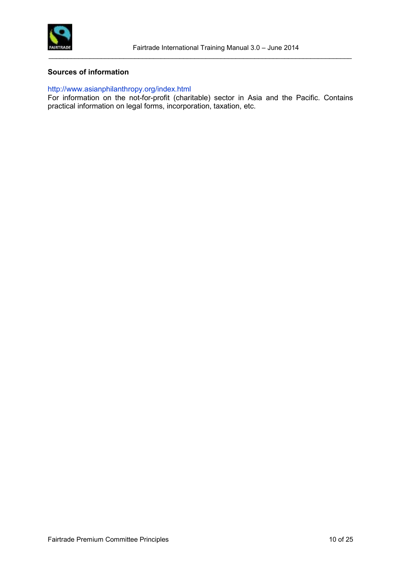

#### **Sources of information**

#### <http://www.asianphilanthropy.org/index.html>

For information on the not-for-profit (charitable) sector in Asia and the Pacific. Contains practical information on legal forms, incorporation, taxation, etc.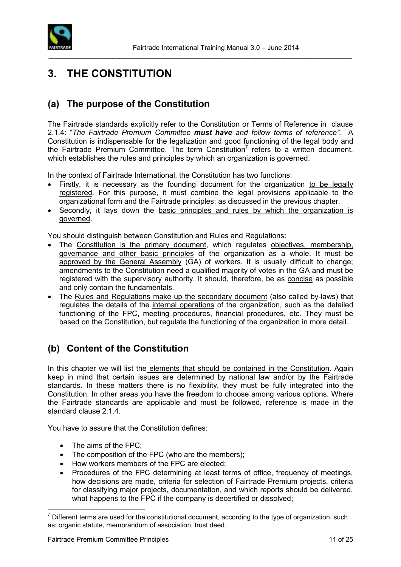

## <span id="page-10-0"></span>**3. THE CONSTITUTION**

## <span id="page-10-1"></span>**(a) The purpose of the Constitution**

The Fairtrade standards explicitly refer to the Constitution or Terms of Reference in clause 2.1.4: "*The Fairtrade Premium Committee must have and follow terms of reference".* A Constitution is indispensable for the legalization and good functioning of the legal body and the Fairtrade Premium Committee. The term Constitution<sup>7</sup> refers to a written document, which establishes the rules and principles by which an organization is governed.

In the context of Fairtrade International, the Constitution has two functions:

- Firstly, it is necessary as the founding document for the organization to be legally registered. For this purpose, it must combine the legal provisions applicable to the organizational form and the Fairtrade principles; as discussed in the previous chapter.
- Secondly, it lays down the basic principles and rules by which the organization is governed.

You should distinguish between Constitution and Rules and Regulations:

- The Constitution is the primary document, which regulates objectives, membership, governance and other basic principles of the organization as a whole. It must be approved by the General Assembly (GA) of workers. It is usually difficult to change; amendments to the Constitution need a qualified majority of votes in the GA and must be registered with the supervisory authority. It should, therefore, be as concise as possible and only contain the fundamentals.
- The Rules and Regulations make up the secondary document (also called by-laws) that regulates the details of the internal operations of the organization, such as the detailed functioning of the FPC, meeting procedures, financial procedures, etc. They must be based on the Constitution, but regulate the functioning of the organization in more detail.

## <span id="page-10-2"></span>**(b) Content of the Constitution**

In this chapter we will list the elements that should be contained in the Constitution. Again keep in mind that certain issues are determined by national law and/or by the Fairtrade standards. In these matters there is no flexibility, they must be fully integrated into the Constitution. In other areas you have the freedom to choose among various options. Where the Fairtrade standards are applicable and must be followed, reference is made in the standard clause 2.1.4

You have to assure that the Constitution defines:

- The aims of the FPC;
- The composition of the FPC (who are the members);
- How workers members of the FPC are elected;
- Procedures of the FPC determining at least terms of office, frequency of meetings, how decisions are made, criteria for selection of Fairtrade Premium projects, criteria for classifying major projects, documentation, and which reports should be delivered, what happens to the FPC if the company is decertified or dissolved;

 $<sup>7</sup>$  Different terms are used for the constitutional document, according to the type of organization, such</sup> as: organic statute, memorandum of association, trust deed.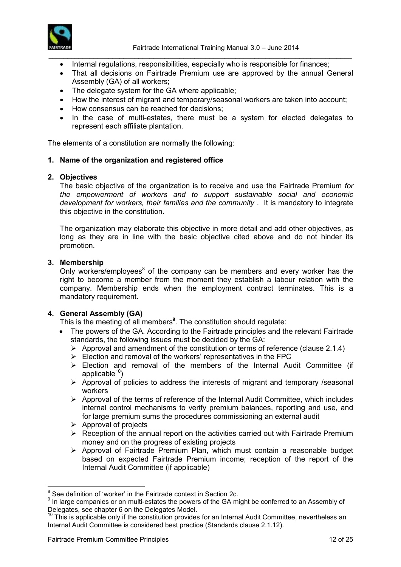

- \_\_\_\_\_\_\_\_\_\_\_\_\_\_\_\_\_\_\_\_\_\_\_\_\_\_\_\_\_\_\_\_\_\_\_\_\_\_\_\_\_\_\_\_\_\_\_\_\_\_\_\_\_\_\_\_\_\_\_\_\_\_\_\_\_\_\_\_\_\_\_\_\_\_\_\_\_\_\_\_\_ Internal regulations, responsibilities, especially who is responsible for finances;
	- That all decisions on Fairtrade Premium use are approved by the annual General Assembly (GA) of all workers;
	- The delegate system for the GA where applicable;
	- How the interest of migrant and temporary/seasonal workers are taken into account;
	- How consensus can be reached for decisions:
	- In the case of multi-estates, there must be a system for elected delegates to represent each affiliate plantation.

The elements of a constitution are normally the following:

#### **1. Name of the organization and registered office**

#### **2. Objectives**

The basic objective of the organization is to receive and use the Fairtrade Premium *for the empowerment of workers and to support sustainable social and economic development for workers, their families and the community* . It is mandatory to integrate this objective in the constitution.

The organization may elaborate this objective in more detail and add other objectives, as long as they are in line with the basic objective cited above and do not hinder its promotion.

#### **3. Membership**

Only workers/employees<sup>8</sup> of the company can be members and every worker has the right to become a member from the moment they establish a labour relation with the company. Membership ends when the employment contract terminates. This is a mandatory requirement.

#### **4. General Assembly (GA)**

This is the meeting of all members**<sup>9</sup>** . The constitution should regulate:

- The powers of the GA. According to the Fairtrade principles and the relevant Fairtrade standards, the following issues must be decided by the GA:
	- $\triangleright$  Approval and amendment of the constitution or terms of reference (clause 2.1.4)
	- $\triangleright$  Election and removal of the workers' representatives in the FPC
	- Election and removal of the members of the Internal Audit Committee (if applicable $10$ )
	- $\triangleright$  Approval of policies to address the interests of migrant and temporary /seasonal workers
	- $\triangleright$  Approval of the terms of reference of the Internal Audit Committee, which includes internal control mechanisms to verify premium balances, reporting and use, and for large premium sums the procedures commissioning an external audit
	- $\triangleright$  Approval of projects
	- $\triangleright$  Reception of the annual report on the activities carried out with Fairtrade Premium money and on the progress of existing projects
	- $\triangleright$  Approval of Fairtrade Premium Plan, which must contain a reasonable budget based on expected Fairtrade Premium income; reception of the report of the Internal Audit Committee (if applicable)

endiese manniton of 'worker' in the Fairtrade context in Section 2c.<br>See definition of 'worker' in the Fairtrade context in Section 2c.

 $9$  In large companies or on multi-estates the powers of the GA might be conferred to an Assembly of Delegates, see chapter 6 on the Delegates Model.

 $10$  This is applicable only if the constitution provides for an Internal Audit Committee, nevertheless an Internal Audit Committee is considered best practice (Standards clause 2.1.12).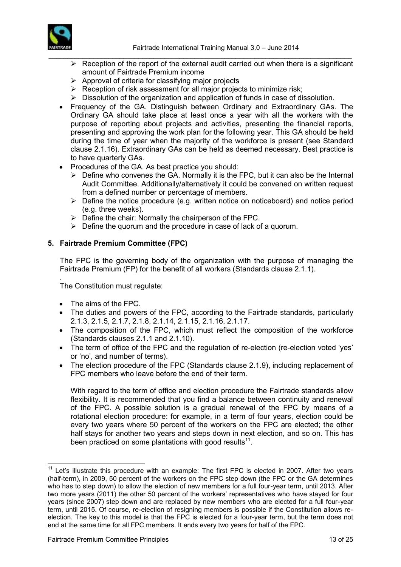

- $\triangleright$  Reception of the report of the external audit carried out when there is a significant amount of Fairtrade Premium income
- $\triangleright$  Approval of criteria for classifying major projects
- $\triangleright$  Reception of risk assessment for all major projects to minimize risk;
- $\triangleright$  Dissolution of the organization and application of funds in case of dissolution.

\_\_\_\_\_\_\_\_\_\_\_\_\_\_\_\_\_\_\_\_\_\_\_\_\_\_\_\_\_\_\_\_\_\_\_\_\_\_\_\_\_\_\_\_\_\_\_\_\_\_\_\_\_\_\_\_\_\_\_\_\_\_\_\_\_\_\_\_\_\_\_\_\_\_\_\_\_\_\_\_\_

- Frequency of the GA. Distinguish between Ordinary and Extraordinary GAs. The Ordinary GA should take place at least once a year with all the workers with the purpose of reporting about projects and activities, presenting the financial reports, presenting and approving the work plan for the following year. This GA should be held during the time of year when the majority of the workforce is present (see Standard clause 2.1.16). Extraordinary GAs can be held as deemed necessary. Best practice is to have quarterly GAs.
- Procedures of the GA. As best practice you should:
	- $\triangleright$  Define who convenes the GA. Normally it is the FPC, but it can also be the Internal Audit Committee. Additionally/alternatively it could be convened on written request from a defined number or percentage of members.
	- $\triangleright$  Define the notice procedure (e.g. written notice on noticeboard) and notice period (e.g. three weeks).
	- $\triangleright$  Define the chair: Normally the chairperson of the FPC.
	- $\triangleright$  Define the quorum and the procedure in case of lack of a quorum.

#### **5. Fairtrade Premium Committee (FPC)**

The FPC is the governing body of the organization with the purpose of managing the Fairtrade Premium (FP) for the benefit of all workers (Standards clause 2.1.1).

. The Constitution must regulate:

- The aims of the FPC.
- The duties and powers of the FPC, according to the Fairtrade standards, particularly 2.1.3, 2.1.5, 2.1.7, 2.1.8, 2.1.14, 2.1.15, 2.1.16, 2.1.17.
- The composition of the FPC, which must reflect the composition of the workforce (Standards clauses 2.1.1 and 2.1.10).
- The term of office of the FPC and the regulation of re-election (re-election voted 'yes' or 'no', and number of terms).
- The election procedure of the FPC (Standards clause 2.1.9), including replacement of FPC members who leave before the end of their term.

With regard to the term of office and election procedure the Fairtrade standards allow flexibility. It is recommended that you find a balance between continuity and renewal of the FPC. A possible solution is a gradual renewal of the FPC by means of a rotational election procedure: for example, in a term of four years, election could be every two years where 50 percent of the workers on the FPC are elected; the other half stays for another two years and steps down in next election, and so on. This has been practiced on some plantations with good results $11$ .

 $11$  Let's illustrate this procedure with an example: The first FPC is elected in 2007. After two years (half-term), in 2009, 50 percent of the workers on the FPC step down (the FPC or the GA determines who has to step down) to allow the election of new members for a full four-year term, until 2013. After two more years (2011) the other 50 percent of the workers' representatives who have stayed for four years (since 2007) step down and are replaced by new members who are elected for a full four-year term, until 2015. Of course, re-election of resigning members is possible if the Constitution allows reelection. The key to this model is that the FPC is elected for a four-year term, but the term does not end at the same time for all FPC members. It ends every two years for half of the FPC.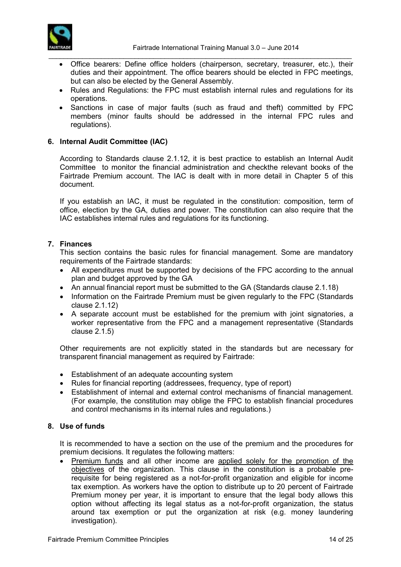

- Office bearers: Define office holders (chairperson, secretary, treasurer, etc.), their duties and their appointment. The office bearers should be elected in FPC meetings, but can also be elected by the General Assembly.
- Rules and Regulations: the FPC must establish internal rules and regulations for its operations.
- Sanctions in case of major faults (such as fraud and theft) committed by FPC members (minor faults should be addressed in the internal FPC rules and regulations).

#### **6. Internal Audit Committee (IAC)**

According to Standards clause 2.1.12, it is best practice to establish an Internal Audit Committee to monitor the financial administration and checkthe relevant books of the Fairtrade Premium account. The IAC is dealt with in more detail in Chapter 5 of this document.

If you establish an IAC, it must be regulated in the constitution: composition, term of office, election by the GA, duties and power. The constitution can also require that the IAC establishes internal rules and regulations for its functioning.

#### **7. Finances**

This section contains the basic rules for financial management. Some are mandatory requirements of the Fairtrade standards:

- All expenditures must be supported by decisions of the FPC according to the annual plan and budget approved by the GA
- An annual financial report must be submitted to the GA (Standards clause 2.1.18)
- Information on the Fairtrade Premium must be given regularly to the FPC (Standards clause 2.1.12)
- A separate account must be established for the premium with joint signatories, a worker representative from the FPC and a management representative (Standards clause 2.1.5)

Other requirements are not explicitly stated in the standards but are necessary for transparent financial management as required by Fairtrade:

- Establishment of an adequate accounting system
- Rules for financial reporting (addressees, frequency, type of report)
- Establishment of internal and external control mechanisms of financial management. (For example, the constitution may oblige the FPC to establish financial procedures and control mechanisms in its internal rules and regulations.)

#### **8. Use of funds**

It is recommended to have a section on the use of the premium and the procedures for premium decisions. It regulates the following matters:

• Premium funds and all other income are applied solely for the promotion of the objectives of the organization. This clause in the constitution is a probable prerequisite for being registered as a not-for-profit organization and eligible for income tax exemption. As workers have the option to distribute up to 20 percent of Fairtrade Premium money per year, it is important to ensure that the legal body allows this option without affecting its legal status as a not-for-profit organization, the status around tax exemption or put the organization at risk (e.g. money laundering investigation).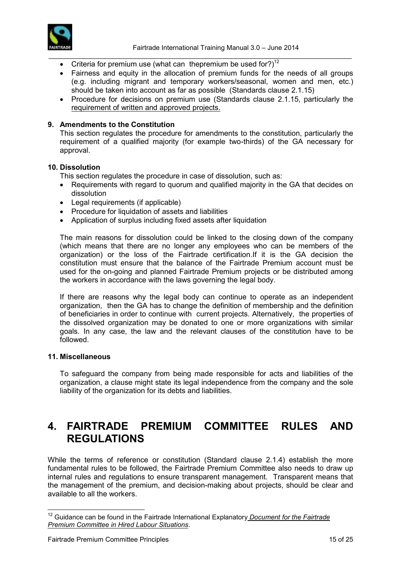

- Criteria for premium use (what can thepremium be used for?) $12$
- Fairness and equity in the allocation of premium funds for the needs of all groups (e.g. including migrant and temporary workers/seasonal, women and men, etc.) should be taken into account as far as possible (Standards clause 2.1.15)
- Procedure for decisions on premium use (Standards clause 2.1.15, particularly the requirement of written and approved projects.

#### **9. Amendments to the Constitution**

This section regulates the procedure for amendments to the constitution, particularly the requirement of a qualified majority (for example two-thirds) of the GA necessary for approval.

#### **10. Dissolution**

This section regulates the procedure in case of dissolution, such as:

- Requirements with regard to quorum and qualified majority in the GA that decides on dissolution
- Legal requirements (if applicable)
- Procedure for liquidation of assets and liabilities
- Application of surplus including fixed assets after liquidation

The main reasons for dissolution could be linked to the closing down of the company (which means that there are no longer any employees who can be members of the organization) or the loss of the Fairtrade certification.If it is the GA decision the constitution must ensure that the balance of the Fairtrade Premium account must be used for the on-going and planned Fairtrade Premium projects or be distributed among the workers in accordance with the laws governing the legal body.

If there are reasons why the legal body can continue to operate as an independent organization, then the GA has to change the definition of membership and the definition of beneficiaries in order to continue with current projects. Alternatively, the properties of the dissolved organization may be donated to one or more organizations with similar goals. In any case, the law and the relevant clauses of the constitution have to be followed.

#### **11. Miscellaneous**

 $\overline{a}$ 

To safeguard the company from being made responsible for acts and liabilities of the organization, a clause might state its legal independence from the company and the sole liability of the organization for its debts and liabilities.

## <span id="page-14-0"></span>**4. FAIRTRADE PREMIUM COMMITTEE RULES AND REGULATIONS**

While the terms of reference or constitution (Standard clause 2.1.4) establish the more fundamental rules to be followed, the Fairtrade Premium Committee also needs to draw up internal rules and regulations to ensure transparent management. Transparent means that the management of the premium, and decision-making about projects, should be clear and available to all the workers.

<sup>12</sup> Guidance can be found in the Fairtrade International Explanatory *Document for the Fairtrade Premium Committee in Hired Labour Situations*.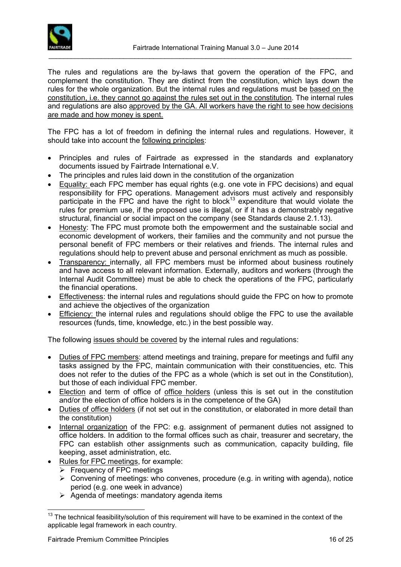

The rules and regulations are the by-laws that govern the operation of the FPC, and complement the constitution. They are distinct from the constitution, which lays down the rules for the whole organization. But the internal rules and regulations must be based on the constitution, i.e. they cannot go against the rules set out in the constitution. The internal rules and regulations are also approved by the GA. All workers have the right to see how decisions are made and how money is spent.

The FPC has a lot of freedom in defining the internal rules and regulations. However, it should take into account the following principles:

- Principles and rules of Fairtrade as expressed in the standards and explanatory documents issued by Fairtrade International e.V.
- The principles and rules laid down in the constitution of the organization
- Equality: each FPC member has equal rights (e.g. one vote in FPC decisions) and equal responsibility for FPC operations. Management advisors must actively and responsibly participate in the FPC and have the right to block<sup>13</sup> expenditure that would violate the rules for premium use, if the proposed use is illegal, or if it has a demonstrably negative structural, financial or social impact on the company (see Standards clause 2.1.13).
- Honesty: The FPC must promote both the empowerment and the sustainable social and economic development of workers, their families and the community and not pursue the personal benefit of FPC members or their relatives and friends. The internal rules and regulations should help to prevent abuse and personal enrichment as much as possible.
- Transparency: internally, all FPC members must be informed about business routinely and have access to all relevant information. Externally, auditors and workers (through the Internal Audit Committee) must be able to check the operations of the FPC, particularly the financial operations.
- Effectiveness: the internal rules and regulations should guide the FPC on how to promote and achieve the objectives of the organization
- Efficiency: the internal rules and regulations should oblige the FPC to use the available resources (funds, time, knowledge, etc.) in the best possible way.

The following issues should be covered by the internal rules and regulations:

- Duties of FPC members: attend meetings and training, prepare for meetings and fulfil any tasks assigned by the FPC, maintain communication with their constituencies, etc. This does not refer to the duties of the FPC as a whole (which is set out in the Constitution), but those of each individual FPC member.
- Election and term of office of office holders (unless this is set out in the constitution and/or the election of office holders is in the competence of the GA)
- Duties of office holders (if not set out in the constitution, or elaborated in more detail than the constitution)
- Internal organization of the FPC: e.g. assignment of permanent duties not assigned to office holders. In addition to the formal offices such as chair, treasurer and secretary, the FPC can establish other assignments such as communication, capacity building, file keeping, asset administration, etc.
- Rules for FPC meetings, for example:
	- $\triangleright$  Frequency of FPC meetings
	- $\triangleright$  Convening of meetings: who convenes, procedure (e.g. in writing with agenda), notice period (e.g. one week in advance)
	- $\triangleright$  Agenda of meetings: mandatory agenda items

<sup>&</sup>lt;sup>13</sup> The technical feasibility/solution of this requirement will have to be examined in the context of the applicable legal framework in each country.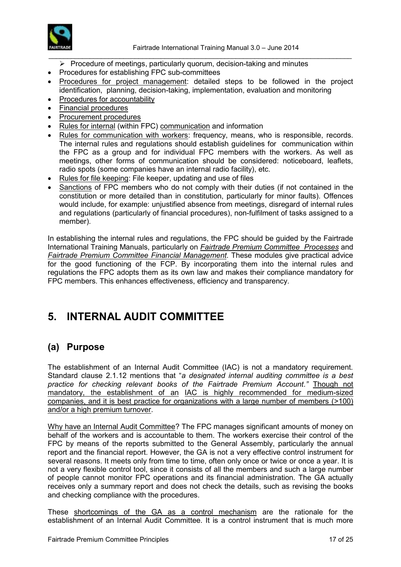

- \_\_\_\_\_\_\_\_\_\_\_\_\_\_\_\_\_\_\_\_\_\_\_\_\_\_\_\_\_\_\_\_\_\_\_\_\_\_\_\_\_\_\_\_\_\_\_\_\_\_\_\_\_\_\_\_\_\_\_\_\_\_\_\_\_\_\_\_\_\_\_\_\_\_\_\_\_\_\_\_\_  $\triangleright$  Procedure of meetings, particularly quorum, decision-taking and minutes
- Procedures for establishing FPC sub-committees
- Procedures for project management: detailed steps to be followed in the project identification, planning, decision-taking, implementation, evaluation and monitoring
- Procedures for accountability
- Financial procedures
- Procurement procedures
- Rules for internal (within FPC) communication and information
- Rules for communication with workers: frequency, means, who is responsible, records. The internal rules and regulations should establish guidelines for communication within the FPC as a group and for individual FPC members with the workers. As well as meetings, other forms of communication should be considered: noticeboard, leaflets, radio spots (some companies have an internal radio facility), etc.
- Rules for file keeping: File keeper, updating and use of files
- Sanctions of FPC members who do not comply with their duties (if not contained in the constitution or more detailed than in constitution, particularly for minor faults). Offences would include, for example: unjustified absence from meetings, disregard of internal rules and regulations (particularly of financial procedures), non-fulfilment of tasks assigned to a member).

In establishing the internal rules and regulations, the FPC should be guided by the Fairtrade International Training Manuals, particularly on *Fairtrade Premium Committee Processes* and *Fairtrade Premium Committee Financial Management*. These modules give practical advice for the good functioning of the FCP. By incorporating them into the internal rules and regulations the FPC adopts them as its own law and makes their compliance mandatory for FPC members. This enhances effectiveness, efficiency and transparency.

## <span id="page-16-0"></span>**5. INTERNAL AUDIT COMMITTEE**

### <span id="page-16-1"></span>**(a) Purpose**

The establishment of an Internal Audit Committee (IAC) is not a mandatory requirement. Standard clause 2.1.12 mentions that "*a designated internal auditing committee is a best practice for checking relevant books of the Fairtrade Premium Account."* Though not mandatory, the establishment of an IAC is highly recommended for medium-sized companies, and it is best practice for organizations with a large number of members (>100) and/or a high premium turnover.

Why have an Internal Audit Committee? The FPC manages significant amounts of money on behalf of the workers and is accountable to them. The workers exercise their control of the FPC by means of the reports submitted to the General Assembly, particularly the annual report and the financial report. However, the GA is not a very effective control instrument for several reasons. It meets only from time to time, often only once or twice or once a year. It is not a very flexible control tool, since it consists of all the members and such a large number of people cannot monitor FPC operations and its financial administration. The GA actually receives only a summary report and does not check the details, such as revising the books and checking compliance with the procedures.

These shortcomings of the GA as a control mechanism are the rationale for the establishment of an Internal Audit Committee. It is a control instrument that is much more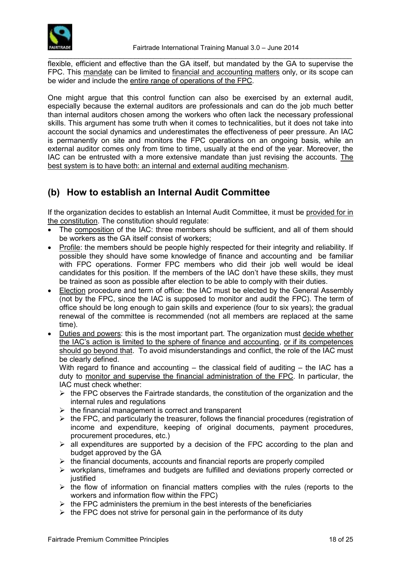

flexible, efficient and effective than the GA itself, but mandated by the GA to supervise the FPC. This mandate can be limited to financial and accounting matters only, or its scope can be wider and include the entire range of operations of the FPC.

\_\_\_\_\_\_\_\_\_\_\_\_\_\_\_\_\_\_\_\_\_\_\_\_\_\_\_\_\_\_\_\_\_\_\_\_\_\_\_\_\_\_\_\_\_\_\_\_\_\_\_\_\_\_\_\_\_\_\_\_\_\_\_\_\_\_\_\_\_\_\_\_\_\_\_\_\_\_\_\_\_

One might argue that this control function can also be exercised by an external audit, especially because the external auditors are professionals and can do the job much better than internal auditors chosen among the workers who often lack the necessary professional skills. This argument has some truth when it comes to technicalities, but it does not take into account the social dynamics and underestimates the effectiveness of peer pressure. An IAC is permanently on site and monitors the FPC operations on an ongoing basis, while an external auditor comes only from time to time, usually at the end of the year. Moreover, the IAC can be entrusted with a more extensive mandate than just revising the accounts. The best system is to have both: an internal and external auditing mechanism.

## <span id="page-17-0"></span>**(b) How to establish an Internal Audit Committee**

If the organization decides to establish an Internal Audit Committee, it must be provided for in the constitution. The constitution should regulate:

- The composition of the IAC: three members should be sufficient, and all of them should be workers as the GA itself consist of workers;
- Profile: the members should be people highly respected for their integrity and reliability. If possible they should have some knowledge of finance and accounting and be familiar with FPC operations. Former FPC members who did their job well would be ideal candidates for this position. If the members of the IAC don't have these skills, they must be trained as soon as possible after election to be able to comply with their duties.
- Election procedure and term of office: the IAC must be elected by the General Assembly (not by the FPC, since the IAC is supposed to monitor and audit the FPC). The term of office should be long enough to gain skills and experience (four to six years); the gradual renewal of the committee is recommended (not all members are replaced at the same time).
- Duties and powers: this is the most important part. The organization must decide whether the IAC's action is limited to the sphere of finance and accounting, or if its competences should go beyond that. To avoid misunderstandings and conflict, the role of the IAC must be clearly defined.

With regard to finance and accounting – the classical field of auditing – the IAC has a duty to monitor and supervise the financial administration of the FPC. In particular, the IAC must check whether:

- $\triangleright$  the FPC observes the Fairtrade standards, the constitution of the organization and the internal rules and regulations
- $\triangleright$  the financial management is correct and transparent
- $\triangleright$  the FPC, and particularly the treasurer, follows the financial procedures (registration of income and expenditure, keeping of original documents, payment procedures, procurement procedures, etc.)
- $\triangleright$  all expenditures are supported by a decision of the FPC according to the plan and budget approved by the GA
- $\triangleright$  the financial documents, accounts and financial reports are properly compiled
- $\triangleright$  workplans, timeframes and budgets are fulfilled and deviations properly corrected or iustified
- $\triangleright$  the flow of information on financial matters complies with the rules (reports to the workers and information flow within the FPC)
- $\triangleright$  the FPC administers the premium in the best interests of the beneficiaries
- $\triangleright$  the FPC does not strive for personal gain in the performance of its duty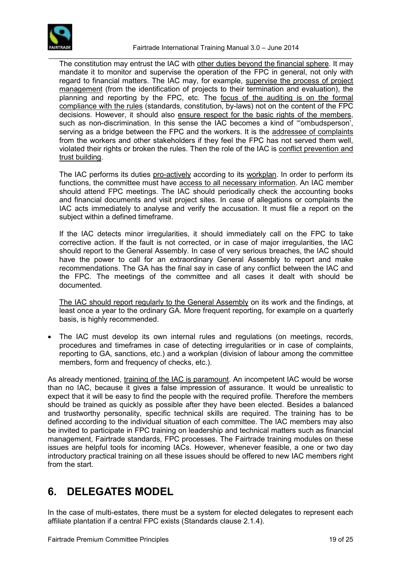

\_\_\_\_\_\_\_\_\_\_\_\_\_\_\_\_\_\_\_\_\_\_\_\_\_\_\_\_\_\_\_\_\_\_\_\_\_\_\_\_\_\_\_\_\_\_\_\_\_\_\_\_\_\_\_\_\_\_\_\_\_\_\_\_\_\_\_\_\_\_\_\_\_\_\_\_\_\_\_\_\_ The constitution may entrust the IAC with other duties beyond the financial sphere. It may mandate it to monitor and supervise the operation of the FPC in general, not only with regard to financial matters. The IAC may, for example, supervise the process of project management (from the identification of projects to their termination and evaluation), the planning and reporting by the FPC, etc. The focus of the auditing is on the formal compliance with the rules (standards, constitution, by-laws) not on the content of the FPC decisions. However, it should also ensure respect for the basic rights of the members, such as non-discrimination. In this sense the IAC becomes a kind of '"ombudsperson', serving as a bridge between the FPC and the workers. It is the addressee of complaints from the workers and other stakeholders if they feel the FPC has not served them well, violated their rights or broken the rules. Then the role of the IAC is conflict prevention and trust building.

The IAC performs its duties pro-actively according to its workplan. In order to perform its functions, the committee must have access to all necessary information. An IAC member should attend FPC meetings. The IAC should periodically check the accounting books and financial documents and visit project sites. In case of allegations or complaints the IAC acts immediately to analyse and verify the accusation. It must file a report on the subject within a defined timeframe.

If the IAC detects minor irregularities, it should immediately call on the FPC to take corrective action. If the fault is not corrected, or in case of major irregularities, the IAC should report to the General Assembly. In case of very serious breaches, the IAC should have the power to call for an extraordinary General Assembly to report and make recommendations. The GA has the final say in case of any conflict between the IAC and the FPC. The meetings of the committee and all cases it dealt with should be documented.

The IAC should report regularly to the General Assembly on its work and the findings, at least once a year to the ordinary GA. More frequent reporting, for example on a quarterly basis, is highly recommended.

 The IAC must develop its own internal rules and regulations (on meetings, records, procedures and timeframes in case of detecting irregularities or in case of complaints, reporting to GA, sanctions, etc.) and a workplan (division of labour among the committee members, form and frequency of checks, etc.).

As already mentioned, training of the IAC is paramount. An incompetent IAC would be worse than no IAC, because it gives a false impression of assurance. It would be unrealistic to expect that it will be easy to find the people with the required profile. Therefore the members should be trained as quickly as possible after they have been elected. Besides a balanced and trustworthy personality, specific technical skills are required. The training has to be defined according to the individual situation of each committee. The IAC members may also be invited to participate in FPC training on leadership and technical matters such as financial management, Fairtrade standards, FPC processes. The Fairtrade training modules on these issues are helpful tools for incoming IACs. However, whenever feasible, a one or two day introductory practical training on all these issues should be offered to new IAC members right from the start.

## <span id="page-18-0"></span>**6. DELEGATES MODEL**

In the case of multi-estates, there must be a system for elected delegates to represent each affiliate plantation if a central FPC exists (Standards clause 2.1.4).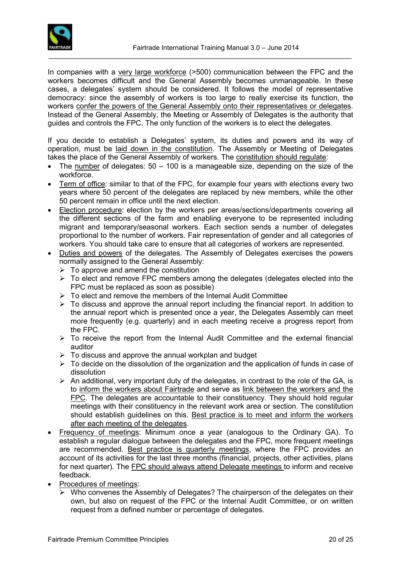

In companies with a very large workforce (>500) communication between the FPC and the workers becomes difficult and the General Assembly becomes unmanageable. In these cases, a delegates' system should be considered. It follows the model of representative democracy: since the assembly of workers is too large to really exercise its function, the workers confer the powers of the General Assembly onto their representatives or delegates. Instead of the General Assembly, the Meeting or Assembly of Delegates is the authority that guides and controls the FPC. The only function of the workers is to elect the delegates.

If you decide to establish a Delegates' system, its duties and powers and its way of operation, must be laid down in the constitution. The Assembly or Meeting of Delegates takes the place of the General Assembly of workers. The constitution should regulate:

- The number of delegates:  $50 100$  is a manageable size, depending on the size of the workforce.
- Term of office: similar to that of the FPC, for example four years with elections every two years where 50 percent of the delegates are replaced by new members, while the other 50 percent remain in office until the next election.
- Election procedure: election by the workers per areas/sections/departments covering all the different sections of the farm and enabling everyone to be represented including migrant and temporary/seasonal workers. Each section sends a number of delegates proportional to the number of workers. Fair representation of gender and all categories of workers. You should take care to ensure that all categories of workers are represented.
- Duties and powers of the delegates. The Assembly of Delegates exercises the powers normally assigned to the General Assembly:
	- $\triangleright$  To approve and amend the constitution
	- $\triangleright$  To elect and remove FPC members among the delegates (delegates elected into the FPC must be replaced as soon as possible)
	- $\triangleright$  To elect and remove the members of the Internal Audit Committee
	- $\triangleright$  To discuss and approve the annual report including the financial report. In addition to the annual report which is presented once a year, the Delegates Assembly can meet more frequently (e.g. quarterly) and in each meeting receive a progress report from the FPC.
	- $\triangleright$  To receive the report from the Internal Audit Committee and the external financial auditor
	- $\triangleright$  To discuss and approve the annual workplan and budget
	- $\triangleright$  To decide on the dissolution of the organization and the application of funds in case of dissolution
	- $\triangleright$  An additional, very important duty of the delegates, in contrast to the role of the GA, is to inform the workers about Fairtrade and serve as link between the workers and the FPC. The delegates are accountable to their constituency. They should hold regular meetings with their constituency in the relevant work area or section. The constitution should establish guidelines on this. Best practice is to meet and inform the workers after each meeting of the delegates.
- Frequency of meetings: Minimum once a year (analogous to the Ordinary GA). To establish a regular dialogue between the delegates and the FPC, more frequent meetings are recommended. Best practice is quarterly meetings, where the FPC provides an account of its activities for the last three months (financial, projects, other activities, plans for next quarter). The FPC should always attend Delegate meetings to inform and receive feedback.
- Procedures of meetings:
	- $\triangleright$  Who convenes the Assembly of Delegates? The chairperson of the delegates on their own, but also on request of the FPC or the Internal Audit Committee, or on written request from a defined number or percentage of delegates.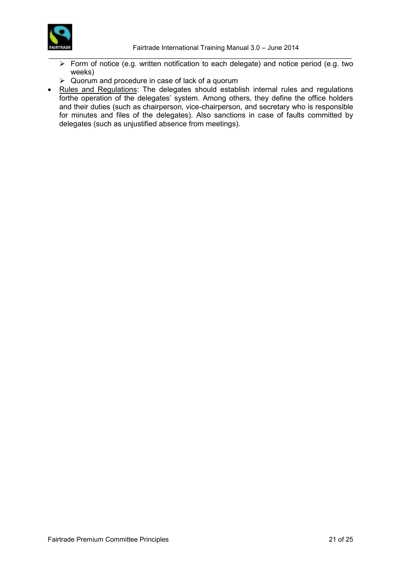



- \_\_\_\_\_\_\_\_\_\_\_\_\_\_\_\_\_\_\_\_\_\_\_\_\_\_\_\_\_\_\_\_\_\_\_\_\_\_\_\_\_\_\_\_\_\_\_\_\_\_\_\_\_\_\_\_\_\_\_\_\_\_\_\_\_\_\_\_\_\_\_\_\_\_\_\_\_\_\_\_\_  $\triangleright$  Form of notice (e.g. written notification to each delegate) and notice period (e.g. two weeks)
	- $\triangleright$  Quorum and procedure in case of lack of a quorum
- Rules and Regulations: The delegates should establish internal rules and regulations forthe operation of the delegates' system. Among others, they define the office holders and their duties (such as chairperson, vice-chairperson, and secretary who is responsible for minutes and files of the delegates). Also sanctions in case of faults committed by delegates (such as unjustified absence from meetings).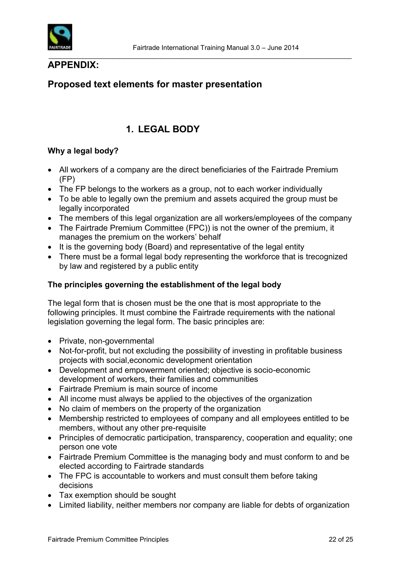

#### **APPENDIX:**

### **Proposed text elements for master presentation**

## **1. LEGAL BODY**

#### **Why a legal body?**

- All workers of a company are the direct beneficiaries of the Fairtrade Premium (FP)
- The FP belongs to the workers as a group, not to each worker individually
- To be able to legally own the premium and assets acquired the group must be legally incorporated
- The members of this legal organization are all workers/employees of the company
- The Fairtrade Premium Committee (FPC)) is not the owner of the premium, it manages the premium on the workers' behalf
- It is the governing body (Board) and representative of the legal entity
- There must be a formal legal body representing the workforce that is trecognized by law and registered by a public entity

#### **The principles governing the establishment of the legal body**

The legal form that is chosen must be the one that is most appropriate to the following principles. It must combine the Fairtrade requirements with the national legislation governing the legal form. The basic principles are:

- Private, non-governmental
- Not-for-profit, but not excluding the possibility of investing in profitable business projects with social,economic development orientation
- Development and empowerment oriented; objective is socio-economic development of workers, their families and communities
- Fairtrade Premium is main source of income
- All income must always be applied to the objectives of the organization
- No claim of members on the property of the organization
- Membership restricted to employees of company and all employees entitled to be members, without any other pre-requisite
- Principles of democratic participation, transparency, cooperation and equality; one person one vote
- Fairtrade Premium Committee is the managing body and must conform to and be elected according to Fairtrade standards
- The FPC is accountable to workers and must consult them before taking decisions
- Tax exemption should be sought
- Limited liability, neither members nor company are liable for debts of organization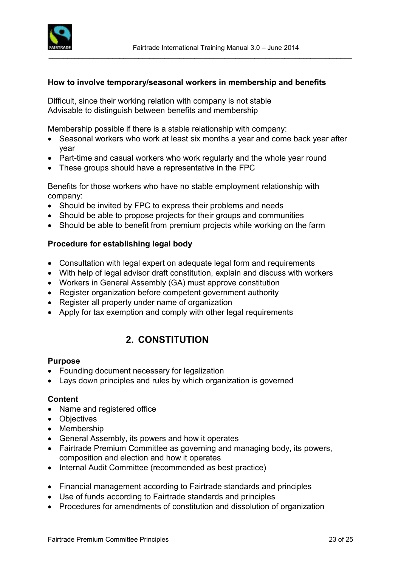

\_\_\_\_\_\_\_\_\_\_\_\_\_\_\_\_\_\_\_\_\_\_\_\_\_\_\_\_\_\_\_\_\_\_\_\_\_\_\_\_\_\_\_\_\_\_\_\_\_\_\_\_\_\_\_\_\_\_\_\_\_\_\_\_\_\_\_\_\_\_\_\_\_\_\_\_\_\_\_\_\_

#### **How to involve temporary/seasonal workers in membership and benefits**

Difficult, since their working relation with company is not stable Advisable to distinguish between benefits and membership

Membership possible if there is a stable relationship with company:

- Seasonal workers who work at least six months a year and come back year after year
- Part-time and casual workers who work regularly and the whole year round
- These groups should have a representative in the FPC

Benefits for those workers who have no stable employment relationship with company:

- Should be invited by FPC to express their problems and needs
- Should be able to propose projects for their groups and communities
- Should be able to benefit from premium projects while working on the farm

#### **Procedure for establishing legal body**

- Consultation with legal expert on adequate legal form and requirements
- With help of legal advisor draft constitution, explain and discuss with workers
- Workers in General Assembly (GA) must approve constitution
- Register organization before competent government authority
- Register all property under name of organization
- Apply for tax exemption and comply with other legal requirements

## **2. CONSTITUTION**

#### **Purpose**

- Founding document necessary for legalization
- Lays down principles and rules by which organization is governed

#### **Content**

- Name and registered office
- Objectives
- Membership
- General Assembly, its powers and how it operates
- Fairtrade Premium Committee as governing and managing body, its powers, composition and election and how it operates
- Internal Audit Committee (recommended as best practice)
- Financial management according to Fairtrade standards and principles
- Use of funds according to Fairtrade standards and principles
- Procedures for amendments of constitution and dissolution of organization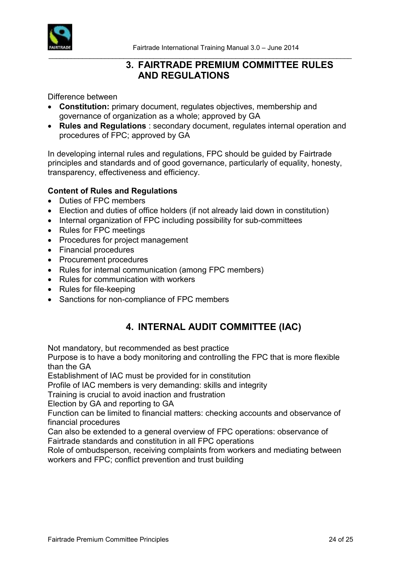

#### \_\_\_\_\_\_\_\_\_\_\_\_\_\_\_\_\_\_\_\_\_\_\_\_\_\_\_\_\_\_\_\_\_\_\_\_\_\_\_\_\_\_\_\_\_\_\_\_\_\_\_\_\_\_\_\_\_\_\_\_\_\_\_\_\_\_\_\_\_\_\_\_\_\_\_\_\_\_\_\_\_ **3. FAIRTRADE PREMIUM COMMITTEE RULES AND REGULATIONS**

Difference between

- **Constitution:** primary document, regulates objectives, membership and governance of organization as a whole; approved by GA
- **Rules and Regulations** : secondary document, regulates internal operation and procedures of FPC; approved by GA

In developing internal rules and regulations, FPC should be guided by Fairtrade principles and standards and of good governance, particularly of equality, honesty, transparency, effectiveness and efficiency.

#### **Content of Rules and Regulations**

- Duties of FPC members
- Election and duties of office holders (if not already laid down in constitution)
- Internal organization of FPC including possibility for sub-committees
- Rules for FPC meetings
- Procedures for project management
- Financial procedures
- Procurement procedures
- Rules for internal communication (among FPC members)
- Rules for communication with workers
- Rules for file-keeping
- Sanctions for non-compliance of FPC members

### **4. INTERNAL AUDIT COMMITTEE (IAC)**

Not mandatory, but recommended as best practice

Purpose is to have a body monitoring and controlling the FPC that is more flexible than the GA

Establishment of IAC must be provided for in constitution

Profile of IAC members is very demanding: skills and integrity

Training is crucial to avoid inaction and frustration

Election by GA and reporting to GA

Function can be limited to financial matters: checking accounts and observance of financial procedures

Can also be extended to a general overview of FPC operations: observance of Fairtrade standards and constitution in all FPC operations

Role of ombudsperson, receiving complaints from workers and mediating between workers and FPC; conflict prevention and trust building